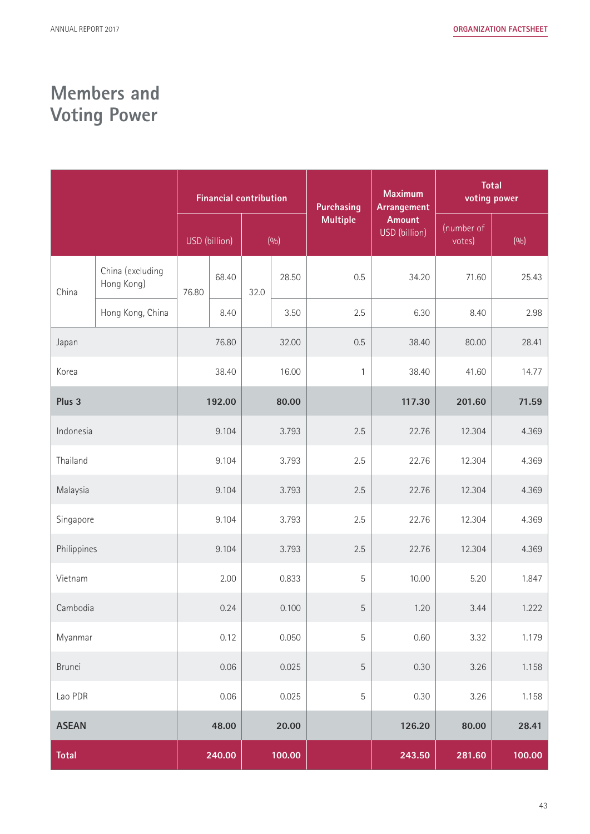# **Members and Voting Power**

|              |                                | <b>Financial contribution</b> |               |       |        | <b>Purchasing</b> | <b>Maximum</b><br>Arrangement  | <b>Total</b><br>voting power |        |
|--------------|--------------------------------|-------------------------------|---------------|-------|--------|-------------------|--------------------------------|------------------------------|--------|
|              |                                |                               | USD (billion) |       | (9/0)  | <b>Multiple</b>   | <b>Amount</b><br>USD (billion) | (number of<br>votes)         | (9/0)  |
| China        | China (excluding<br>Hong Kong) | 76.80                         | 68.40         | 32.0  | 28.50  | 0.5               | 34.20                          | 71.60                        | 25.43  |
|              | Hong Kong, China               |                               | 8.40          |       | 3.50   | 2.5               | 6.30                           | 8.40                         | 2.98   |
| Japan        |                                | 76.80                         |               | 32.00 |        | 0.5               | 38.40                          | 80.00                        | 28.41  |
| Korea        |                                | 38.40                         |               | 16.00 |        | $\mathbf{1}$      | 38.40                          | 41.60                        | 14.77  |
| Plus 3       |                                | 192.00                        |               | 80.00 |        |                   | 117.30                         | 201.60                       | 71.59  |
| Indonesia    |                                | 9.104                         |               | 3.793 |        | 2.5               | 22.76                          | 12.304                       | 4.369  |
| Thailand     |                                | 9.104                         |               | 3.793 |        | 2.5               | 22.76                          | 12.304                       | 4.369  |
| Malaysia     |                                | 9.104                         |               | 3.793 |        | 2.5               | 22.76                          | 12.304                       | 4.369  |
| Singapore    |                                | 9.104<br>3.793                |               | 2.5   | 22.76  | 12.304            | 4.369                          |                              |        |
| Philippines  |                                | 9.104<br>3.793                |               |       | 2.5    | 22.76             | 12.304                         | 4.369                        |        |
| Vietnam      |                                |                               | 2.00          |       | 0.833  | 5                 | 10.00                          | 5.20                         | 1.847  |
| Cambodia     |                                | 0.24                          |               | 0.100 |        | 5                 | 1.20                           | 3.44                         | 1.222  |
| Myanmar      |                                | 0.12                          |               | 0.050 |        | 5                 | 0.60                           | 3.32                         | 1.179  |
| Brunei       |                                | 0.06                          |               | 0.025 |        | 5                 | 0.30                           | 3.26                         | 1.158  |
| Lao PDR      |                                | 0.06                          |               | 0.025 |        | 5                 | 0.30                           | 3.26                         | 1.158  |
| <b>ASEAN</b> |                                | 48.00                         |               | 20.00 |        |                   | 126.20                         | 80.00                        | 28.41  |
| <b>Total</b> |                                |                               | 240.00        |       | 100.00 |                   | 243.50                         | 281.60                       | 100.00 |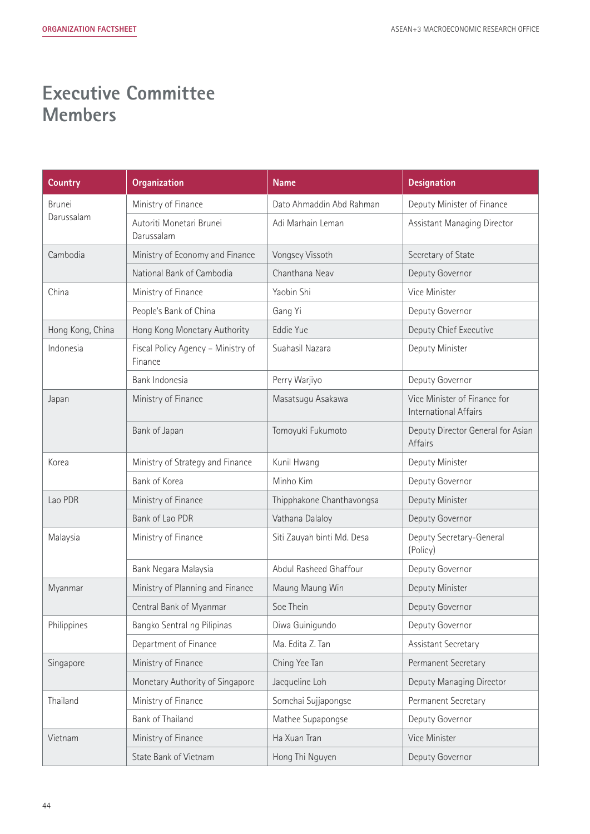# **Executive Committee Members**

| <b>Country</b>   | <b>Organization</b>                           | <b>Name</b>                | <b>Designation</b>                                    |  |
|------------------|-----------------------------------------------|----------------------------|-------------------------------------------------------|--|
| Brunei           | Ministry of Finance                           | Dato Ahmaddin Abd Rahman   | Deputy Minister of Finance                            |  |
| Darussalam       | Autoriti Monetari Brunei<br>Darussalam        | Adi Marhain Leman          | Assistant Managing Director                           |  |
| Cambodia         | Ministry of Economy and Finance               | Vongsey Vissoth            | Secretary of State                                    |  |
|                  | National Bank of Cambodia                     | Chanthana Neav             | Deputy Governor                                       |  |
| China            | Ministry of Finance                           | Yaobin Shi                 | Vice Minister                                         |  |
|                  | People's Bank of China                        | Gang Yi                    | Deputy Governor                                       |  |
| Hong Kong, China | Hong Kong Monetary Authority                  | Eddie Yue                  | Deputy Chief Executive                                |  |
| Indonesia        | Fiscal Policy Agency - Ministry of<br>Finance | Suahasil Nazara            | Deputy Minister                                       |  |
|                  | Bank Indonesia                                | Perry Warjiyo              | Deputy Governor                                       |  |
| Japan            | Ministry of Finance                           | Masatsugu Asakawa          | Vice Minister of Finance for<br>International Affairs |  |
|                  | Bank of Japan                                 | Tomoyuki Fukumoto          | Deputy Director General for Asian<br>Affairs          |  |
| Korea            | Ministry of Strategy and Finance              | Kunil Hwang                | Deputy Minister                                       |  |
|                  | Bank of Korea                                 | Minho Kim                  | Deputy Governor                                       |  |
| Lao PDR          | Ministry of Finance                           | Thipphakone Chanthavongsa  | Deputy Minister                                       |  |
|                  | Bank of Lao PDR                               | Vathana Dalaloy            | Deputy Governor                                       |  |
| Malaysia         | Ministry of Finance                           | Siti Zauyah binti Md. Desa | Deputy Secretary-General<br>(Policy)                  |  |
|                  | Bank Negara Malaysia                          | Abdul Rasheed Ghaffour     | Deputy Governor                                       |  |
| Myanmar          | Ministry of Planning and Finance              | Maung Maung Win            | Deputy Minister                                       |  |
|                  | Central Bank of Myanmar                       | Soe Thein                  | Deputy Governor                                       |  |
| Philippines      | Bangko Sentral ng Pilipinas                   | Diwa Guinigundo            | Deputy Governor                                       |  |
|                  | Department of Finance                         | Ma. Edita Z. Tan           | Assistant Secretary                                   |  |
| Singapore        | Ministry of Finance                           | Ching Yee Tan              | Permanent Secretary                                   |  |
|                  | Monetary Authority of Singapore               | Jacqueline Loh             | Deputy Managing Director                              |  |
| Thailand         | Ministry of Finance                           | Somchai Sujjapongse        | Permanent Secretary                                   |  |
|                  | Bank of Thailand                              | Mathee Supapongse          | Deputy Governor                                       |  |
| Vietnam          | Ministry of Finance                           | Ha Xuan Tran               | Vice Minister                                         |  |
|                  | State Bank of Vietnam                         | Hong Thi Nguyen            | Deputy Governor                                       |  |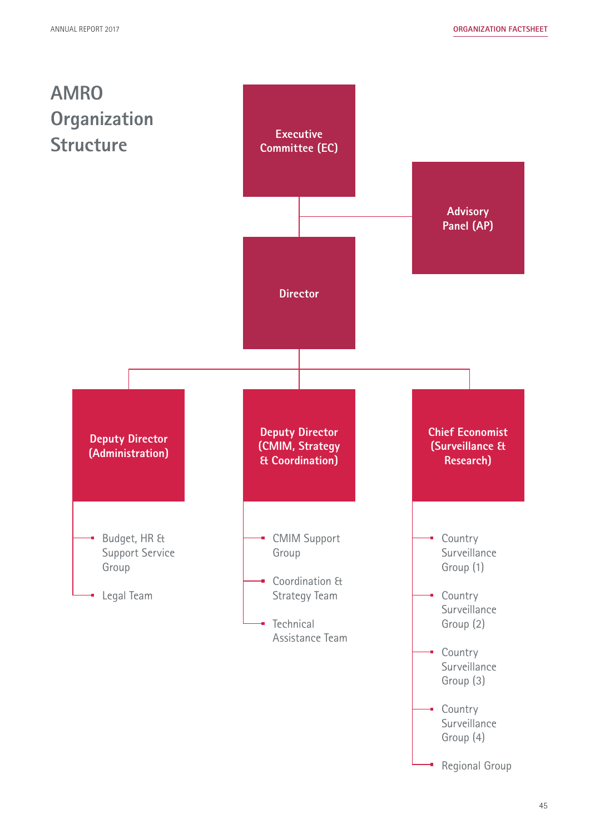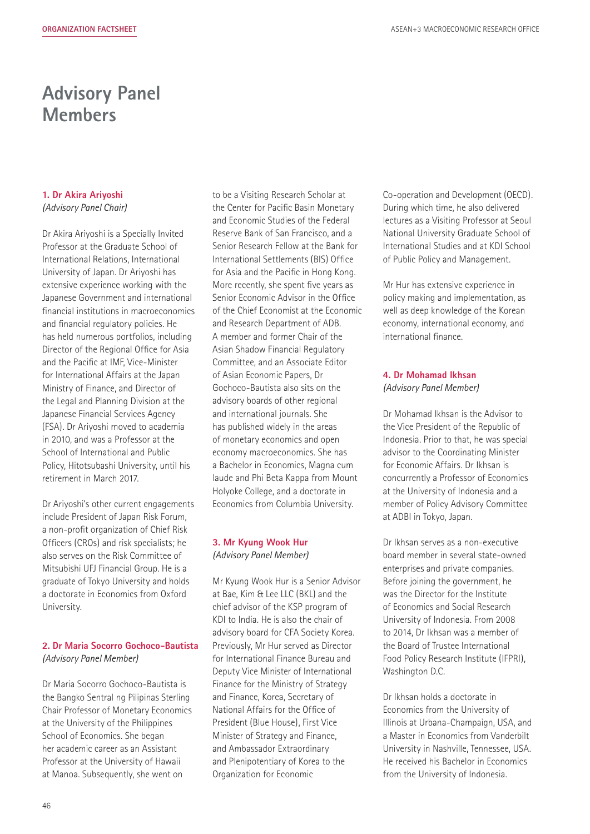### **Advisory Panel Members**

#### **1. Dr Akira Ariyoshi** *(Advisory Panel Chair)*

Dr Akira Ariyoshi is a Specially Invited Professor at the Graduate School of International Relations, International University of Japan. Dr Ariyoshi has extensive experience working with the Japanese Government and international financial institutions in macroeconomics and financial regulatory policies. He has held numerous portfolios, including Director of the Regional Office for Asia and the Pacific at IMF, Vice-Minister for International Affairs at the Japan Ministry of Finance, and Director of the Legal and Planning Division at the Japanese Financial Services Agency (FSA). Dr Ariyoshi moved to academia in 2010, and was a Professor at the School of International and Public Policy, Hitotsubashi University, until his retirement in March 2017.

Dr Ariyoshi's other current engagements include President of Japan Risk Forum, a non-profit organization of Chief Risk Officers (CROs) and risk specialists; he also serves on the Risk Committee of Mitsubishi UFJ Financial Group. He is a graduate of Tokyo University and holds a doctorate in Economics from Oxford University.

#### **2. Dr Maria Socorro Gochoco-Bautista** *(Advisory Panel Member)*

Dr Maria Socorro Gochoco-Bautista is the Bangko Sentral ng Pilipinas Sterling Chair Professor of Monetary Economics at the University of the Philippines School of Economics. She began her academic career as an Assistant Professor at the University of Hawaii at Manoa. Subsequently, she went on

to be a Visiting Research Scholar at the Center for Pacific Basin Monetary and Economic Studies of the Federal Reserve Bank of San Francisco, and a Senior Research Fellow at the Bank for International Settlements (BIS) Office for Asia and the Pacific in Hong Kong. More recently, she spent five years as Senior Economic Advisor in the Office of the Chief Economist at the Economic and Research Department of ADB. A member and former Chair of the Asian Shadow Financial Regulatory Committee, and an Associate Editor of Asian Economic Papers, Dr Gochoco-Bautista also sits on the advisory boards of other regional and international journals. She has published widely in the areas of monetary economics and open economy macroeconomics. She has a Bachelor in Economics, Magna cum laude and Phi Beta Kappa from Mount Holyoke College, and a doctorate in Economics from Columbia University.

#### **3. Mr Kyung Wook Hur** *(Advisory Panel Member)*

Mr Kyung Wook Hur is a Senior Advisor at Bae, Kim & Lee LLC (BKL) and the chief advisor of the KSP program of KDI to India. He is also the chair of advisory board for CFA Society Korea. Previously, Mr Hur served as Director for International Finance Bureau and Deputy Vice Minister of International Finance for the Ministry of Strategy and Finance, Korea, Secretary of National Affairs for the Office of President (Blue House), First Vice Minister of Strategy and Finance, and Ambassador Extraordinary and Plenipotentiary of Korea to the Organization for Economic

Co-operation and Development (OECD). During which time, he also delivered lectures as a Visiting Professor at Seoul National University Graduate School of International Studies and at KDI School of Public Policy and Management.

Mr Hur has extensive experience in policy making and implementation, as well as deep knowledge of the Korean economy, international economy, and international finance.

#### **4. Dr Mohamad Ikhsan** *(Advisory Panel Member)*

Dr Mohamad Ikhsan is the Advisor to the Vice President of the Republic of Indonesia. Prior to that, he was special advisor to the Coordinating Minister for Economic Affairs. Dr Ikhsan is concurrently a Professor of Economics at the University of Indonesia and a member of Policy Advisory Committee at ADBI in Tokyo, Japan.

Dr Ikhsan serves as a non-executive board member in several state-owned enterprises and private companies. Before joining the government, he was the Director for the Institute of Economics and Social Research University of Indonesia. From 2008 to 2014, Dr Ikhsan was a member of the Board of Trustee International Food Policy Research Institute (IFPRI), Washington D.C.

Dr Ikhsan holds a doctorate in Economics from the University of Illinois at Urbana-Champaign, USA, and a Master in Economics from Vanderbilt University in Nashville, Tennessee, USA. He received his Bachelor in Economics from the University of Indonesia.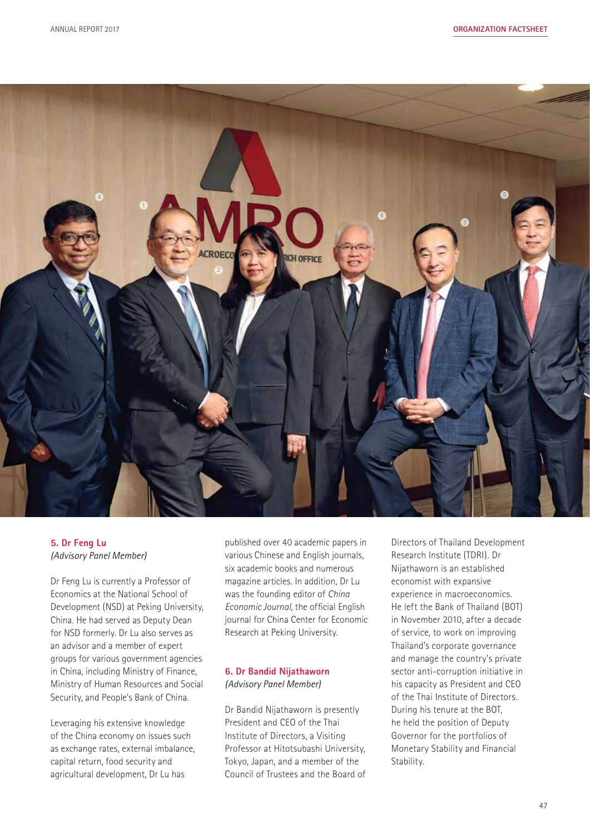

#### **5. Dr Feng Lu** *(Advisory Panel Member)*

Dr Feng Lu is currently a Professor of Economics at the National School of Development (NSD) at Peking University, China. He had served as Deputy Dean for NSD formerly. Dr Lu also serves as an advisor and a member of expert groups for various government agencies in China, including Ministry of Finance, Ministry of Human Resources and Social Security, and People's Bank of China.

Leveraging his extensive knowledge of the China economy on issues such as exchange rates, external imbalance, capital return, food security and agricultural development, Dr Lu has

published over 40 academic papers in various Chinese and English journals, six academic books and numerous magazine articles. In addition, Dr Lu was the founding editor of *China Economic Journal*, the official English journal for China Center for Economic Research at Peking University.

#### **6. Dr Bandid Nijathaworn** *(Advisory Panel Member)*

Dr Bandid Nijathaworn is presently President and CEO of the Thai Institute of Directors, a Visiting Professor at Hitotsubashi University, Tokyo, Japan, and a member of the Council of Trustees and the Board of

Directors of Thailand Development Research Institute (TDRI). Dr Nijathaworn is an established economist with expansive experience in macroeconomics. He left the Bank of Thailand (BOT) in November 2010, after a decade of service, to work on improving Thailand's corporate governance and manage the country's private sector anti-corruption initiative in his capacity as President and CEO of the Thai Institute of Directors. During his tenure at the BOT, he held the position of Deputy Governor for the portfolios of Monetary Stability and Financial Stability.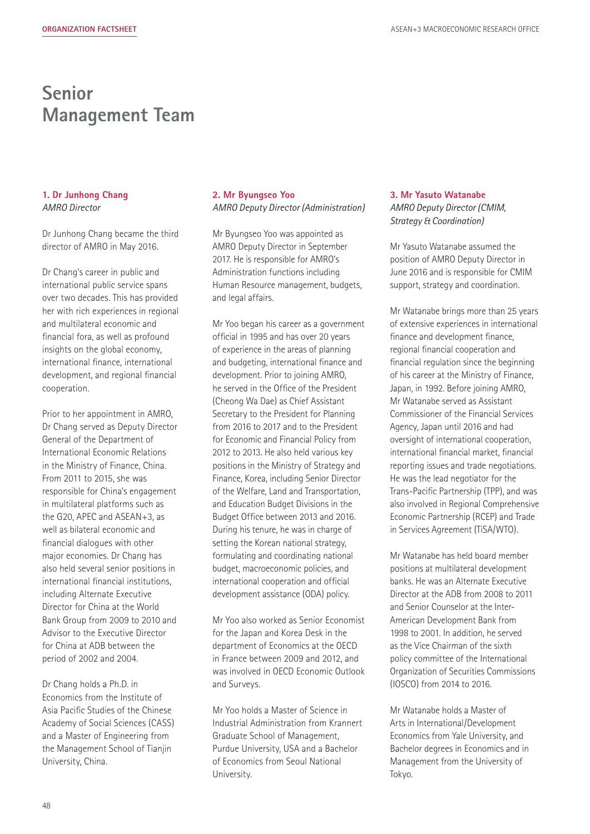### **Senior Management Team**

#### **1. Dr Junhong Chang** *AMRO Director*

Dr Junhong Chang became the third director of AMRO in May 2016.

Dr Chang's career in public and international public service spans over two decades. This has provided her with rich experiences in regional and multilateral economic and financial fora, as well as profound insights on the global economy, international finance, international development, and regional financial cooperation.

Prior to her appointment in AMRO, Dr Chang served as Deputy Director General of the Department of International Economic Relations in the Ministry of Finance, China. From 2011 to 2015, she was responsible for China's engagement in multilateral platforms such as the G20, APEC and ASEAN+3, as well as bilateral economic and financial dialogues with other major economies. Dr Chang has also held several senior positions in international financial institutions, including Alternate Executive Director for China at the World Bank Group from 2009 to 2010 and Advisor to the Executive Director for China at ADB between the period of 2002 and 2004.

Dr Chang holds a Ph.D. in Economics from the Institute of Asia Pacific Studies of the Chinese Academy of Social Sciences (CASS) and a Master of Engineering from the Management School of Tianjin University, China.

#### **2. Mr Byungseo Yoo** *AMRO Deputy Director (Administration)*

Mr Byungseo Yoo was appointed as AMRO Deputy Director in September 2017. He is responsible for AMRO's Administration functions including Human Resource management, budgets, and legal affairs.

Mr Yoo began his career as a government official in 1995 and has over 20 years of experience in the areas of planning and budgeting, international finance and development. Prior to joining AMRO, he served in the Office of the President (Cheong Wa Dae) as Chief Assistant Secretary to the President for Planning from 2016 to 2017 and to the President for Economic and Financial Policy from 2012 to 2013. He also held various key positions in the Ministry of Strategy and Finance, Korea, including Senior Director of the Welfare, Land and Transportation, and Education Budget Divisions in the Budget Office between 2013 and 2016. During his tenure, he was in charge of setting the Korean national strategy, formulating and coordinating national budget, macroeconomic policies, and international cooperation and official development assistance (ODA) policy.

Mr Yoo also worked as Senior Economist for the Japan and Korea Desk in the department of Economics at the OECD in France between 2009 and 2012, and was involved in OECD Economic Outlook and Surveys.

Mr Yoo holds a Master of Science in Industrial Administration from Krannert Graduate School of Management, Purdue University, USA and a Bachelor of Economics from Seoul National University.

#### **3. Mr Yasuto Watanabe** *AMRO Deputy Director (CMIM, Strategy & Coordination)*

Mr Yasuto Watanabe assumed the position of AMRO Deputy Director in June 2016 and is responsible for CMIM support, strategy and coordination.

Mr Watanabe brings more than 25 years of extensive experiences in international finance and development finance, regional financial cooperation and financial regulation since the beginning of his career at the Ministry of Finance, Japan, in 1992. Before joining AMRO, Mr Watanabe served as Assistant Commissioner of the Financial Services Agency, Japan until 2016 and had oversight of international cooperation, international financial market, financial reporting issues and trade negotiations. He was the lead negotiator for the Trans-Pacific Partnership (TPP), and was also involved in Regional Comprehensive Economic Partnership (RCEP) and Trade in Services Agreement (TiSA/WTO).

Mr Watanabe has held board member positions at multilateral development banks. He was an Alternate Executive Director at the ADB from 2008 to 2011 and Senior Counselor at the Inter-American Development Bank from 1998 to 2001. In addition, he served as the Vice Chairman of the sixth policy committee of the International Organization of Securities Commissions (IOSCO) from 2014 to 2016.

Mr Watanabe holds a Master of Arts in International/Development Economics from Yale University, and Bachelor degrees in Economics and in Management from the University of Tokyo.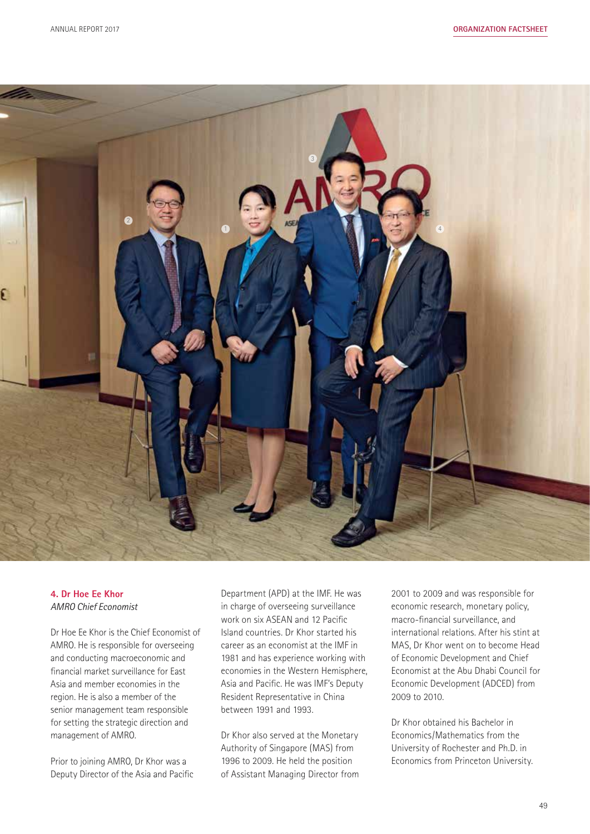

#### **4. Dr Hoe Ee Khor** *AMRO Chief Economist*

Dr Hoe Ee Khor is the Chief Economist of AMRO. He is responsible for overseeing and conducting macroeconomic and financial market surveillance for East Asia and member economies in the region. He is also a member of the senior management team responsible for setting the strategic direction and management of AMRO.

Prior to joining AMRO, Dr Khor was a Deputy Director of the Asia and Pacific Department (APD) at the IMF. He was in charge of overseeing surveillance work on six ASEAN and 12 Pacific Island countries. Dr Khor started his career as an economist at the IMF in 1981 and has experience working with economies in the Western Hemisphere, Asia and Pacific. He was IMF's Deputy Resident Representative in China between 1991 and 1993.

Dr Khor also served at the Monetary Authority of Singapore (MAS) from 1996 to 2009. He held the position of Assistant Managing Director from 2001 to 2009 and was responsible for economic research, monetary policy, macro-financial surveillance, and international relations. After his stint at MAS, Dr Khor went on to become Head of Economic Development and Chief Economist at the Abu Dhabi Council for Economic Development (ADCED) from 2009 to 2010.

Dr Khor obtained his Bachelor in Economics/Mathematics from the University of Rochester and Ph.D. in Economics from Princeton University.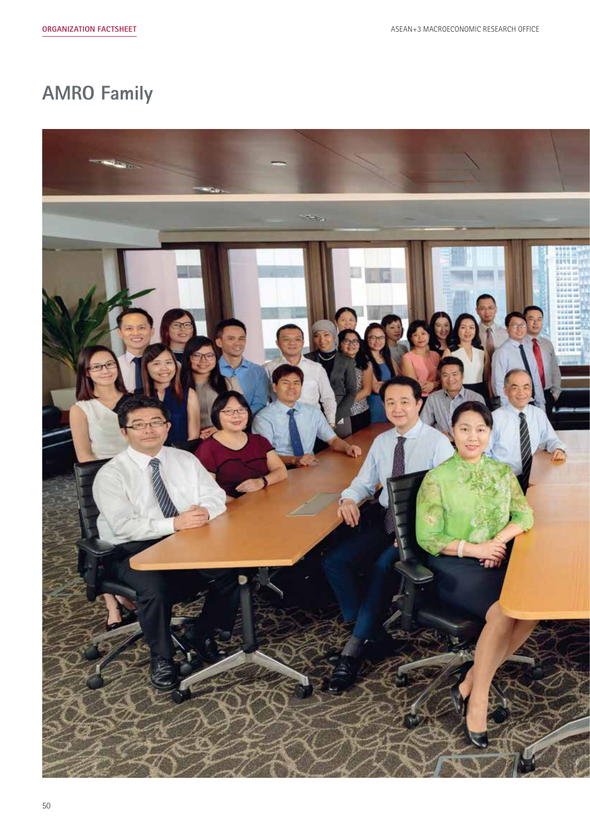# **AMRO Family**